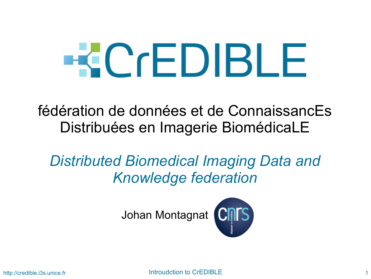# **ECCEDIBLE**

fédération de données et de ConnaissancEs Distribuées en Imagerie BiomédicaLE

#### *Distributed Biomedical Imaging Data and Knowledge federation*

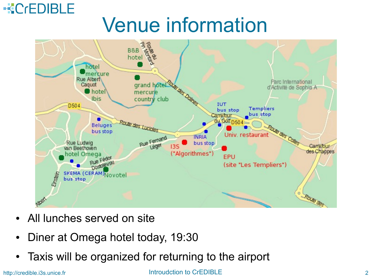#### **KCrEDIBLE** Venue information



- All lunches served on site
- Diner at Omega hotel today, 19:30
- Taxis will be organized for returning to the airport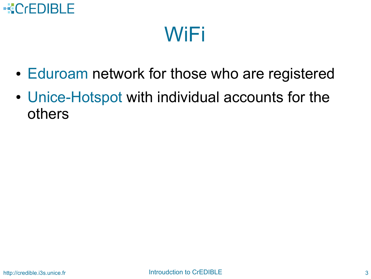

## WiFi

- Eduroam network for those who are registered
- Unice-Hotspot with individual accounts for the others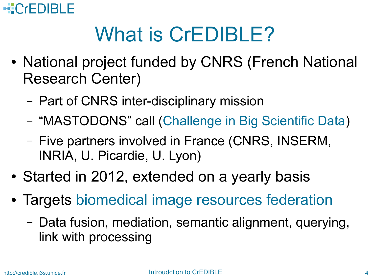#### **ECCEDIBLE**

# What is CrEDIBLE?

- National project funded by CNRS (French National Research Center)
	- Part of CNRS inter-disciplinary mission
	- "MASTODONS" call (Challenge in Big Scientific Data)
	- Five partners involved in France (CNRS, INSERM, INRIA, U. Picardie, U. Lyon)
- Started in 2012, extended on a yearly basis
- Targets biomedical image resources federation
	- Data fusion, mediation, semantic alignment, querying, link with processing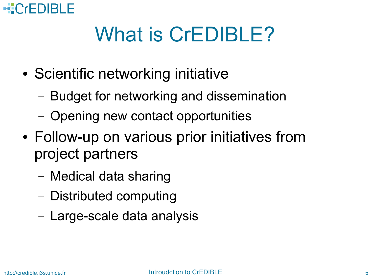#### **ECCEDIBLE**

# What is CrEDIBLE?

- Scientific networking initiative
	- Budget for networking and dissemination
	- Opening new contact opportunities
- Follow-up on various prior initiatives from project partners
	- Medical data sharing
	- Distributed computing
	- Large-scale data analysis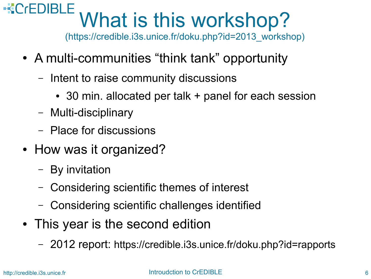#### **REDIBLE** What is this workshop?

(https://credible.i3s.unice.fr/doku.php?id=2013\_workshop)

- A multi-communities "think tank" opportunity
	- Intent to raise community discussions
		- 30 min. allocated per talk + panel for each session
	- Multi-disciplinary
	- Place for discussions
- How was it organized?
	- By invitation
	- Considering scientific themes of interest
	- Considering scientific challenges identified
- This year is the second edition
	- 2012 report: https://credible.i3s.unice.fr/doku.php?id=rapports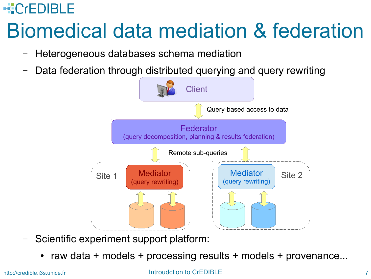#### **ECCEDIBLE**

# Biomedical data mediation & federation

- Heterogeneous databases schema mediation
- Data federation through distributed querying and query rewriting



- Scientific experiment support platform:
	- raw data  $+$  models  $+$  processing results  $+$  models  $+$  provenance...

#### http://credible.i3s.unice.fr **Introudction to CrEDIBLE** 7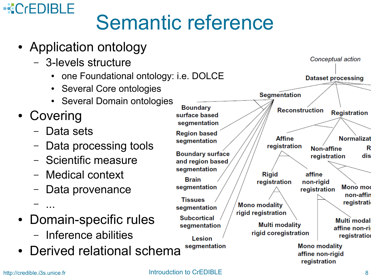#### **KCrEDIBLE** Semantic reference

- Application ontology
	- 3-levels structure
		- one Foundational ontology: i.e. DOLCE
		- Several Core ontologies
		- Several Domain ontologies
- Covering

– ...

- Data sets
- Data processing tools
- Scientific measure
- Medical context
- Data provenance
- Domain-specific rules
	- Inference abilities
- Derived relational schema

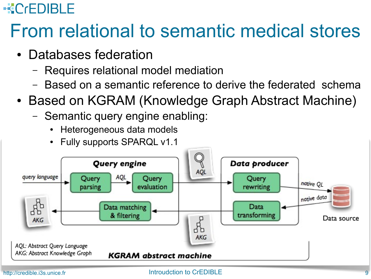#### **KCrEDIBLE**

## From relational to semantic medical stores

- Databases federation
	- Requires relational model mediation
	- Based on a semantic reference to derive the federated schema
- Based on KGRAM (Knowledge Graph Abstract Machine)
	- Semantic query engine enabling:
		- Heterogeneous data models
		- Fully supports SPARQL v1.1

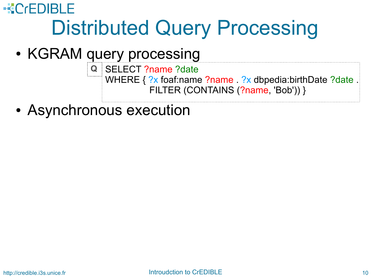• KGRAM query processing

SELECT ?name ?date **Q**WHERE { ?x foaf:name ?name . ?x dbpedia:birthDate ?date . FILTER (CONTAINS (?name, 'Bob')) }

• Asynchronous execution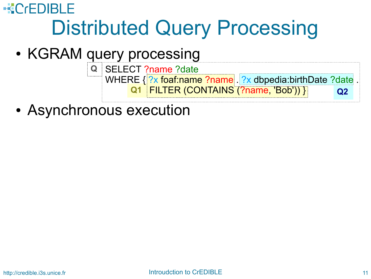• KGRAM query processing

**Q1** FILTER (CONTAINS (?name, 'Bob')) } **Q2** SELECT ?name ?date **Q**WHERE { ?x foaf:name ?name . ?x dbpedia:birthDate ?date

• Asynchronous execution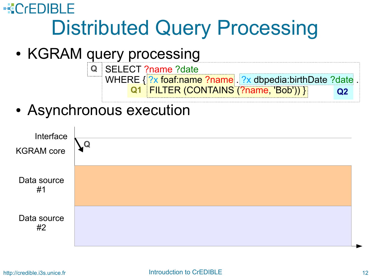- KGRAM query processing
	- **Q1** FILTER (CONTAINS (?name, 'Bob')) } **Q2** SELECT ?name ?date **Q** WHERE { ?x foaf:name ?name . ?x dbpedia:birthDate ?date
- Asynchronous execution

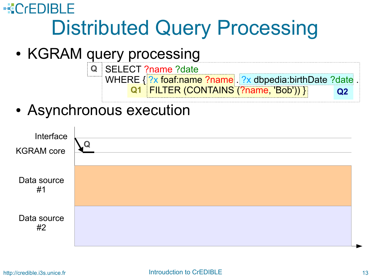- KGRAM query processing
	- **Q1** FILTER (CONTAINS (?name, 'Bob')) } **Q2** SELECT ?name ?date **Q** WHERE { ?x foaf:name ?name . ?x dbpedia:birthDate ?date
- Asynchronous execution

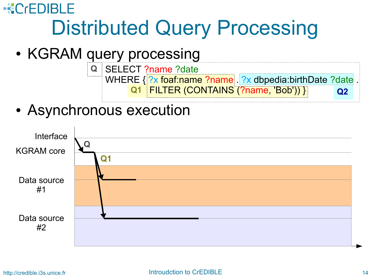- KGRAM query processing
	- **Q1** FILTER (CONTAINS (?name, 'Bob')) } **Q2** SELECT ?name ?date **Q** WHERE { ?x foaf:name ?name . ?x dbpedia:birthDate ?date
- Asynchronous execution

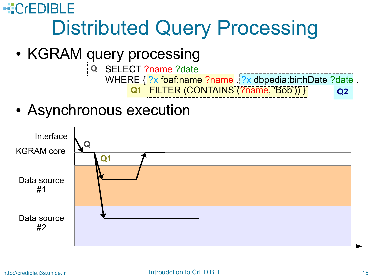- KGRAM query processing
	- **Q1** FILTER (CONTAINS (?name, 'Bob')) } **Q2** SELECT ?name ?date **Q** WHERE { ?x foaf:name ?name . ?x dbpedia:birthDate ?date
- Asynchronous execution

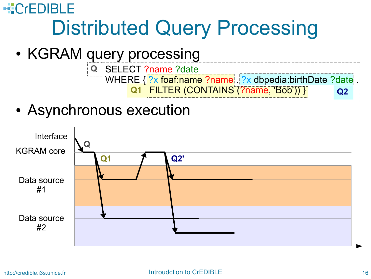## $-CFDRF$ Distributed Query Processing

- KGRAM query processing
	- **Q1** SELECT ?name ?date **Q** WHERE { ?x foaf:name ?name . ?x dbpedia:birthDate ?date FILTER (CONTAINS (?name, 'Bob')) } **Q2**
- Asynchronous execution

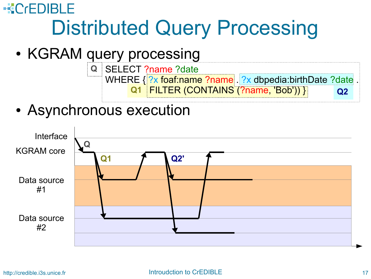## $-CFDBF$ Distributed Query Processing

- KGRAM query processing
	- **Q1** SELECT ?name ?date **Q** WHERE { ?x foaf:name ?name . ?x dbpedia:birthDate ?date FILTER (CONTAINS (?name, 'Bob')) } **Q2**
- Asynchronous execution

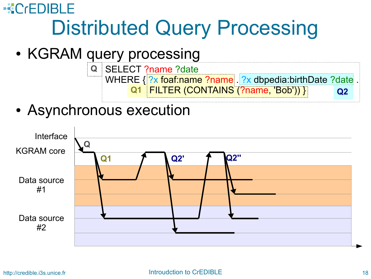## $-CFDBF$ Distributed Query Processing

- KGRAM query processing
	- **Q1** SELECT ?name ?date **Q** WHERE { ?x foaf:name ?name . ?x dbpedia:birthDate ?date FILTER (CONTAINS (?name, 'Bob')) } **Q2**
- Asynchronous execution

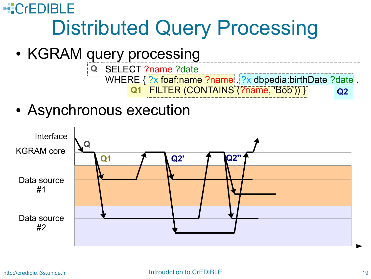## $-CFDBF$ Distributed Query Processing

- KGRAM query processing
	- **Q1** SELECT ?name ?date **Q** WHERE { ?x foaf:name ?name . ?x dbpedia:birthDate ?date FILTER (CONTAINS (?name, 'Bob')) } **Q2**
- Asynchronous execution

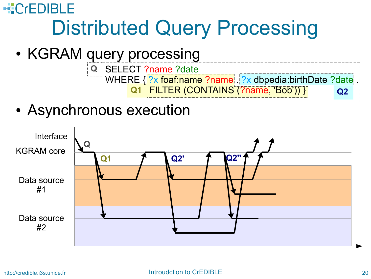- KGRAM query processing
	- **Q1** SELECT ?name ?date **Q** WHERE { ?x foaf:name ?name . ?x dbpedia:birthDate ?date FILTER (CONTAINS (?name, 'Bob')) } **Q2**
- Asynchronous execution

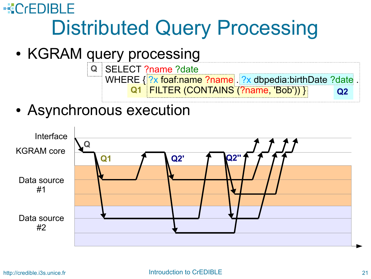- KGRAM query processing
	- **Q1** SELECT ?name ?date **Q** WHERE { ?x foaf:name ?name . ?x dbpedia:birthDate ?date FILTER (CONTAINS (?name, 'Bob')) } **Q2**
- Asynchronous execution

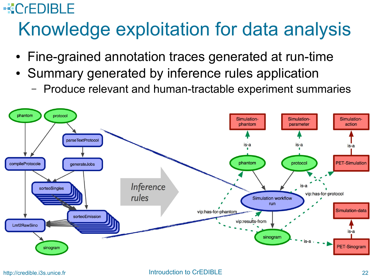#### **KCrEDIBLE**

## Knowledge exploitation for data analysis

- Fine-grained annotation traces generated at run-time
- Summary generated by inference rules application
	- Produce relevant and human-tractable experiment summaries

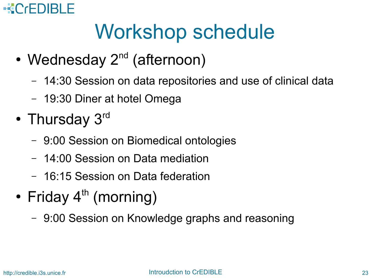#### **KCrEDIBLE**

# Workshop schedule

- Wednesday  $2^{nd}$  (afternoon)
	- 14:30 Session on data repositories and use of clinical data
	- 19:30 Diner at hotel Omega
- Thursday 3<sup>rd</sup>
	- 9:00 Session on Biomedical ontologies
	- 14:00 Session on Data mediation
	- 16:15 Session on Data federation
- Friday  $4^{\text{th}}$  (morning)
	- 9:00 Session on Knowledge graphs and reasoning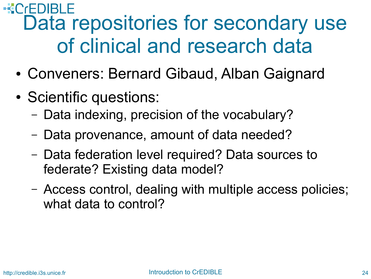#### **EC**<sub>r</sub>EDIBLE Data repositories for secondary use of clinical and research data

- Conveners: Bernard Gibaud, Alban Gaignard
- Scientific questions:
	- Data indexing, precision of the vocabulary?
	- Data provenance, amount of data needed?
	- Data federation level required? Data sources to federate? Existing data model?
	- Access control, dealing with multiple access policies; what data to control?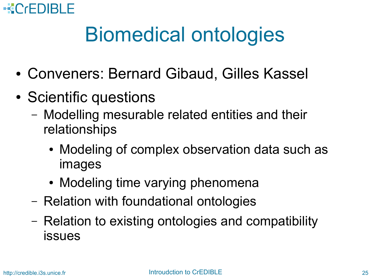

# Biomedical ontologies

- Conveners: Bernard Gibaud, Gilles Kassel
- Scientific questions
	- Modelling mesurable related entities and their relationships
		- Modeling of complex observation data such as images
		- Modeling time varying phenomena
	- Relation with foundational ontologies
	- Relation to existing ontologies and compatibility issues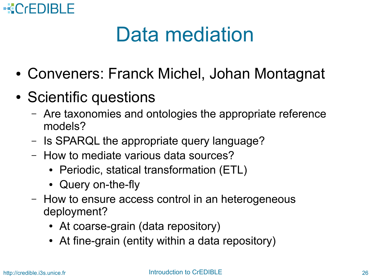

# Data mediation

- Conveners: Franck Michel, Johan Montagnat
- Scientific questions
	- Are taxonomies and ontologies the appropriate reference models?
	- Is SPARQL the appropriate query language?
	- How to mediate various data sources?
		- Periodic, statical transformation (ETL)
		- Query on-the-fly
	- How to ensure access control in an heterogeneous deployment?
		- At coarse-grain (data repository)
		- At fine-grain (entity within a data repository)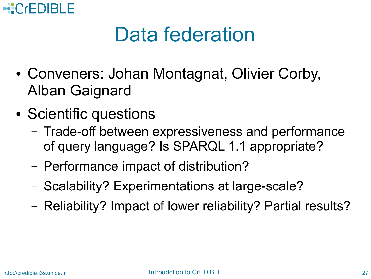

# Data federation

- Conveners: Johan Montagnat, Olivier Corby, Alban Gaignard
- Scientific questions
	- Trade-off between expressiveness and performance of query language? Is SPARQL 1.1 appropriate?
	- Performance impact of distribution?
	- Scalability? Experimentations at large-scale?
	- Reliability? Impact of lower reliability? Partial results?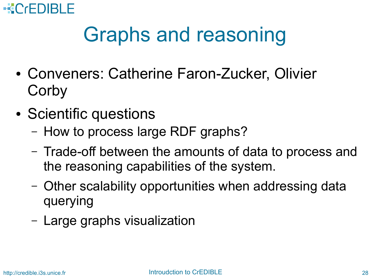

# Graphs and reasoning

- Conveners: Catherine Faron-Zucker, Olivier **Corby**
- Scientific questions
	- How to process large RDF graphs?
	- Trade-off between the amounts of data to process and the reasoning capabilities of the system.
	- Other scalability opportunities when addressing data querying
	- Large graphs visualization